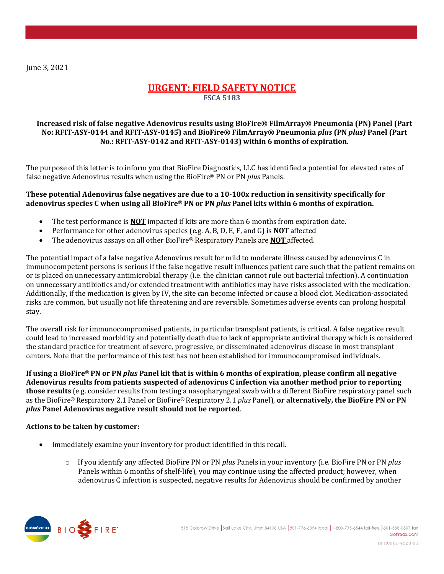June 3, 2021

# **URGENT: FIELD SAFETY NOTICE FSCA 5183**

## **Increased risk of false negative Adenovirus results using BioFire® FilmArray® Pneumonia (PN) Panel (Part No: RFIT-ASY-0144 and RFIT-ASY-0145) and BioFire® FilmArray® Pneumonia** *plus* **(PN** *plus)* **Panel (Part No.: RFIT-ASY-0142 and RFIT-ASY-0143) within 6 months of expiration.**

The purpose of this letter is to inform you that BioFire Diagnostics, LLC has identified a potential for elevated rates of false negative Adenovirus results when using the BioFire® PN or PN *plus* Panels.

### **These potential Adenovirus false negatives are due to a 10-100x reduction in sensitivity specifically for adenovirus species C when using all BioFire**® **PN or PN** *plus* **Panel kits within 6 months of expiration.**

- The test performance is **NOT** impacted if kits are more than 6 months from expiration date.
- Performance for other adenovirus species (e.g. A, B, D, E, F, and G) is **NOT** affected
- The adenovirus assays on all other BioFire® Respiratory Panels are **NOT** affected.

The potential impact of a false negative Adenovirus result for mild to moderate illness caused by adenovirus C in immunocompetent persons is serious if the false negative result influences patient care such that the patient remains on or is placed on unnecessary antimicrobial therapy (i.e. the clinician cannot rule out bacterial infection). A continuation on unnecessary antibiotics and/or extended treatment with antibiotics may have risks associated with the medication. Additionally, if the medication is given by IV, the site can become infected or cause a blood clot. Medication-associated risks are common, but usually not life threatening and are reversible. Sometimes adverse events can prolong hospital stay.

The overall risk for immunocompromised patients, in particular transplant patients, is critical. A false negative result could lead to increased morbidity and potentially death due to lack of appropriate antiviral therapy which is considered the standard practice for treatment of severe, progressive, or disseminated adenovirus disease in most transplant centers. Note that the performance of this test has not been established for immunocompromised individuals.

**If using a BioFire**® **PN or PN** *plus* **Panel kit that is within 6 months of expiration, please confirm all negative Adenovirus results from patients suspected of adenovirus C infection via another method prior to reporting those results** (e.g. consider results from testing a nasopharyngeal swab with a different BioFire respiratory panel such as the BioFire® Respiratory 2.1 Panel or BioFire® Respiratory 2.1 *plus* Panel), **or alternatively, the BioFire PN or PN**  *plus* **Panel Adenovirus negative result should not be reported**.

### **Actions to be taken by customer:**

- Immediately examine your inventory for product identified in this recall.
	- o If you identify any affected BioFire PN or PN *plus* Panels in your inventory (i.e. BioFire PN or PN *plus*  Panels within 6 months of shelf-life), you may continue using the affected product; however, when adenovirus C infection is suspected, negative results for Adenovirus should be confirmed by another